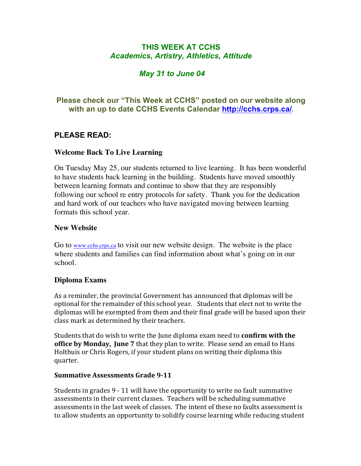# **THIS WEEK AT CCHS** *Academics, Artistry, Athletics, Attitude*

# *May 31 to June 04*

# **Please check our "This Week at CCHS" posted on our website along with an up to date CCHS Events Calendar<http://cchs.crps.ca/>**.

# **PLEASE READ:**

## **Welcome Back To Live Learning**

On Tuesday May 25, our students returned to live learning. It has been wonderful to have students back learning in the building. Students have moved smoothly between learning formats and continue to show that they are responsibly following our school re entry protocols for safety. Thank you for the dedication and hard work of our teachers who have navigated moving between learning formats this school year.

#### **New Website**

Go to [www.cchs.crps.ca](http://www.cchs.crps.ca) to visit our new website design. The website is the place where students and families can find information about what's going on in our school.

## **Diploma Exams**

As a reminder, the provincial Government has announced that diplomas will be optional for the remainder of this school year. Students that elect not to write the diplomas will be exempted from them and their final grade will be based upon their class mark as determined by their teachers.

Students that do wish to write the June diploma exam need to **confirm with the office by Monday, June 7** that they plan to write. Please send an email to Hans Holthuis or Chris Rogers, if your student plans on writing their diploma this quarter.

#### **Summative Assessments Grade 9-11**

Students in grades  $9 - 11$  will have the opportunity to write no fault summative assessments in their current classes. Teachers will be scheduling summative assessments in the last week of classes. The intent of these no faults assessment is to allow students an opportunity to solidify course learning while reducing student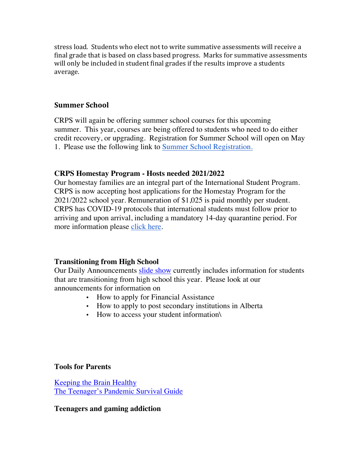stress load. Students who elect not to write summative assessments will receive a final grade that is based on class based progress. Marks for summative assessments will only be included in student final grades if the results improve a students average.

## **Summer School**

CRPS will again be offering summer school courses for this upcoming summer. This year, courses are being offered to students who need to do either credit recovery, or upgrading. Registration for Summer School will open on May 1. Please use the following link to [Summer School Registration.](https://crps.ca/Summer School.php)

## **CRPS Homestay Program - Hosts needed 2021/2022**

Our homestay families are an integral part of the International Student Program. CRPS is now accepting host applications for the Homestay Program for the 2021/2022 school year. Remuneration of \$1,025 is paid monthly per student. CRPS has COVID-19 protocols that international students must follow prior to arriving and upon arrival, including a mandatory 14-day quarantine period. For more information please [click here](https://crps.ca/Homestay Program.php).

## **Transitioning from High School**

Our Daily Announcements [slide show](https://docs.google.com/presentation/d/1eKIacynJnXoiOT2vNIyyWorRDtkcVp_c5pX052OGIN8/edit?usp=sharing) currently includes information for students that are transitioning from high school this year. Please look at our announcements for information on

- How to apply for Financial Assistance
- How to apply to post secondary institutions in Alberta
- How to access your student information\

## **Tools for Parents**

[Keeping the Brain Healthy](https://cchs.crps.ca/documents/general/keeping the brain healthy_1.jpg) [The Teenager's Pandemic Survival Guide](https://cchs.crps.ca/documents/general/The Teenagers Pandemic Survival Guide_1.jpg)

## **Teenagers and gaming addiction**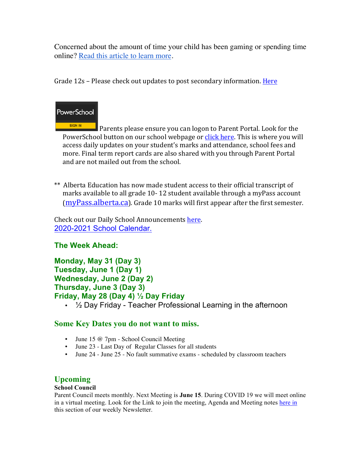Concerned about the amount of time your child has been gaming or spending time online? [Read this article to learn more](https://docs.google.com/document/d/1Ox97B7KI-nSHRxPBq-b_8SErmtiuX6sM1NCVODxmpk8/edit?usp=sharing).

Grade  $12s$  – Please check out updates to post secondary information. Here



SIGN IN Parents please ensure you can logon to Parent Portal. Look for the PowerSchool button on our school webpage or click here. This is where you will access daily updates on your student's marks and attendance, school fees and more. Final term report cards are also shared with you through Parent Portal and are not mailed out from the school.

\*\* Alberta Education has now made student access to their official transcript of marks available to all grade 10-12 student available through a myPass account  $(mvPass.alberta.ca)$ . Grade 10 marks will first appear after the first semester.

Check out our Daily School Announcements here. [2020-2021 School Calendar.](https://crps.ca/documents/general/Final 2020-2021 Learning Calendar.pdf)

# **The Week Ahead:**

```
Monday, May 31 (Day 3)
Tuesday, June 1 (Day 1)
Wednesday, June 2 (Day 2)
Thursday, June 3 (Day 3)
Friday, May 28 (Day 4) ½ Day Friday
```
• ½ Day Friday - Teacher Professional Learning in the afternoon

## **Some Key Dates you do not want to miss.**

- June 15 @ 7pm School Council Meeting
- June 23 Last Day of Regular Classes for all students
- June 24 June 25 No fault summative exams scheduled by classroom teachers

# **Upcoming**

#### **School Council**

Parent Council meets monthly. Next Meeting is **June 15**. During COVID 19 we will meet online in a virtual meeting. Look for the Link to join the meeting, Agenda and Meeting notes [here in](https://docs.google.com/document/d/1_mBgeCxFqdYLgJDZJCZ496Com-ErlUxUaqF979sQ27A/edit?usp=sharing) this section of our weekly Newsletter.